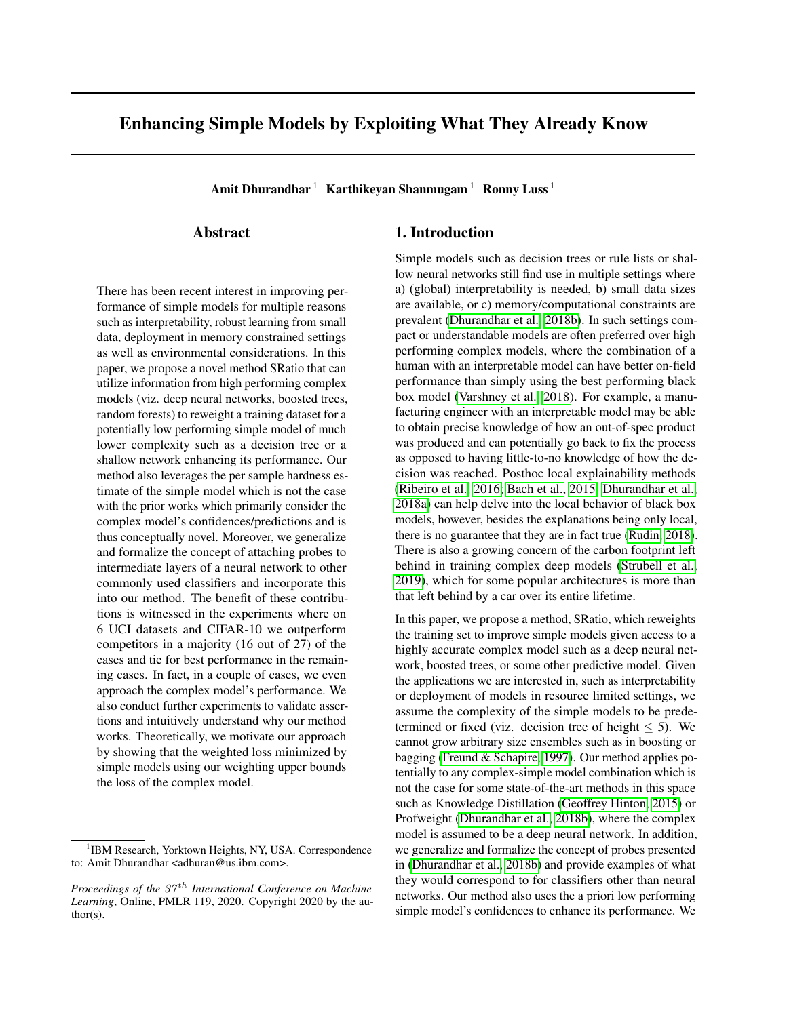# Enhancing Simple Models by Exploiting What They Already Know

Amit Dhurandhar  $1$  Karthikeyan Shanmugam  $1$  Ronny Luss  $1$ 

# Abstract

There has been recent interest in improving performance of simple models for multiple reasons such as interpretability, robust learning from small data, deployment in memory constrained settings as well as environmental considerations. In this paper, we propose a novel method SRatio that can utilize information from high performing complex models (viz. deep neural networks, boosted trees, random forests) to reweight a training dataset for a potentially low performing simple model of much lower complexity such as a decision tree or a shallow network enhancing its performance. Our method also leverages the per sample hardness estimate of the simple model which is not the case with the prior works which primarily consider the complex model's confidences/predictions and is thus conceptually novel. Moreover, we generalize and formalize the concept of attaching probes to intermediate layers of a neural network to other commonly used classifiers and incorporate this into our method. The benefit of these contributions is witnessed in the experiments where on 6 UCI datasets and CIFAR-10 we outperform competitors in a majority (16 out of 27) of the cases and tie for best performance in the remaining cases. In fact, in a couple of cases, we even approach the complex model's performance. We also conduct further experiments to validate assertions and intuitively understand why our method works. Theoretically, we motivate our approach by showing that the weighted loss minimized by simple models using our weighting upper bounds the loss of the complex model.

# 1. Introduction

Simple models such as decision trees or rule lists or shallow neural networks still find use in multiple settings where a) (global) interpretability is needed, b) small data sizes are available, or c) memory/computational constraints are prevalent [\(Dhurandhar et al., 2018b\)](#page-8-0). In such settings compact or understandable models are often preferred over high performing complex models, where the combination of a human with an interpretable model can have better on-field performance than simply using the best performing black box model [\(Varshney et al., 2018\)](#page-9-0). For example, a manufacturing engineer with an interpretable model may be able to obtain precise knowledge of how an out-of-spec product was produced and can potentially go back to fix the process as opposed to having little-to-no knowledge of how the decision was reached. Posthoc local explainability methods [\(Ribeiro et al., 2016;](#page-8-1) [Bach et al., 2015;](#page-8-2) [Dhurandhar et al.,](#page-8-3) [2018a\)](#page-8-3) can help delve into the local behavior of black box models, however, besides the explanations being only local, there is no guarantee that they are in fact true [\(Rudin, 2018\)](#page-9-1). There is also a growing concern of the carbon footprint left behind in training complex deep models [\(Strubell et al.,](#page-9-2) [2019\)](#page-9-2), which for some popular architectures is more than that left behind by a car over its entire lifetime.

In this paper, we propose a method, SRatio, which reweights the training set to improve simple models given access to a highly accurate complex model such as a deep neural network, boosted trees, or some other predictive model. Given the applications we are interested in, such as interpretability or deployment of models in resource limited settings, we assume the complexity of the simple models to be predetermined or fixed (viz. decision tree of height  $\leq$  5). We cannot grow arbitrary size ensembles such as in boosting or bagging [\(Freund & Schapire, 1997\)](#page-8-4). Our method applies potentially to any complex-simple model combination which is not the case for some state-of-the-art methods in this space such as Knowledge Distillation [\(Geoffrey Hinton, 2015\)](#page-8-5) or Profweight [\(Dhurandhar et al., 2018b\)](#page-8-0), where the complex model is assumed to be a deep neural network. In addition, we generalize and formalize the concept of probes presented in [\(Dhurandhar et al., 2018b\)](#page-8-0) and provide examples of what they would correspond to for classifiers other than neural networks. Our method also uses the a priori low performing simple model's confidences to enhance its performance. We

<sup>&</sup>lt;sup>1</sup>IBM Research, Yorktown Heights, NY, USA. Correspondence to: Amit Dhurandhar <adhuran@us.ibm.com>.

*Proceedings of the 37<sup>th</sup> International Conference on Machine Learning*, Online, PMLR 119, 2020. Copyright 2020 by the author(s).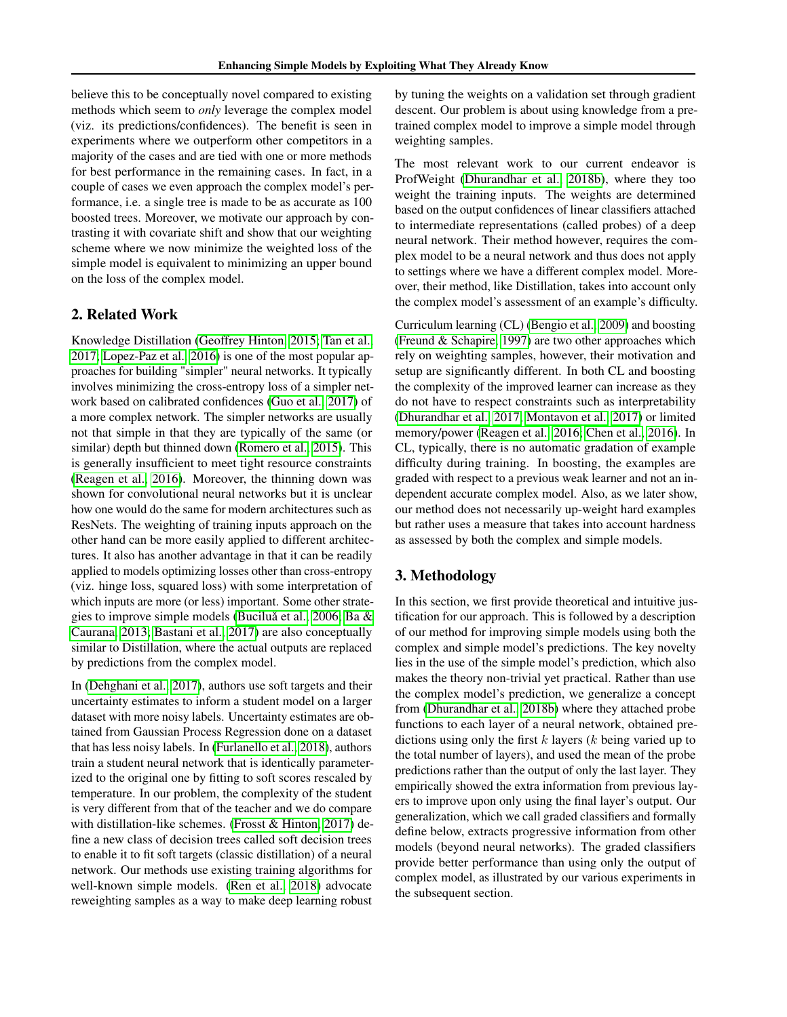believe this to be conceptually novel compared to existing methods which seem to *only* leverage the complex model (viz. its predictions/confidences). The benefit is seen in experiments where we outperform other competitors in a majority of the cases and are tied with one or more methods for best performance in the remaining cases. In fact, in a couple of cases we even approach the complex model's performance, i.e. a single tree is made to be as accurate as 100 boosted trees. Moreover, we motivate our approach by contrasting it with covariate shift and show that our weighting scheme where we now minimize the weighted loss of the simple model is equivalent to minimizing an upper bound on the loss of the complex model.

## 2. Related Work

Knowledge Distillation [\(Geoffrey Hinton, 2015;](#page-8-5) [Tan et al.,](#page-9-3) [2017;](#page-9-3) [Lopez-Paz et al., 2016\)](#page-8-6) is one of the most popular approaches for building "simpler" neural networks. It typically involves minimizing the cross-entropy loss of a simpler network based on calibrated confidences [\(Guo et al., 2017\)](#page-8-7) of a more complex network. The simpler networks are usually not that simple in that they are typically of the same (or similar) depth but thinned down [\(Romero et al., 2015\)](#page-8-8). This is generally insufficient to meet tight resource constraints [\(Reagen et al., 2016\)](#page-8-9). Moreover, the thinning down was shown for convolutional neural networks but it is unclear how one would do the same for modern architectures such as ResNets. The weighting of training inputs approach on the other hand can be more easily applied to different architectures. It also has another advantage in that it can be readily applied to models optimizing losses other than cross-entropy (viz. hinge loss, squared loss) with some interpretation of which inputs are more (or less) important. Some other strate-gies to improve simple models (Buciluă et al., 2006; [Ba &](#page-8-11) [Caurana, 2013;](#page-8-11) [Bastani et al., 2017\)](#page-8-12) are also conceptually similar to Distillation, where the actual outputs are replaced by predictions from the complex model.

In [\(Dehghani et al., 2017\)](#page-8-13), authors use soft targets and their uncertainty estimates to inform a student model on a larger dataset with more noisy labels. Uncertainty estimates are obtained from Gaussian Process Regression done on a dataset that has less noisy labels. In [\(Furlanello et al., 2018\)](#page-8-14), authors train a student neural network that is identically parameterized to the original one by fitting to soft scores rescaled by temperature. In our problem, the complexity of the student is very different from that of the teacher and we do compare with distillation-like schemes. [\(Frosst & Hinton, 2017\)](#page-8-15) define a new class of decision trees called soft decision trees to enable it to fit soft targets (classic distillation) of a neural network. Our methods use existing training algorithms for well-known simple models. [\(Ren et al., 2018\)](#page-8-16) advocate reweighting samples as a way to make deep learning robust

by tuning the weights on a validation set through gradient descent. Our problem is about using knowledge from a pretrained complex model to improve a simple model through weighting samples.

The most relevant work to our current endeavor is ProfWeight [\(Dhurandhar et al., 2018b\)](#page-8-0), where they too weight the training inputs. The weights are determined based on the output confidences of linear classifiers attached to intermediate representations (called probes) of a deep neural network. Their method however, requires the complex model to be a neural network and thus does not apply to settings where we have a different complex model. Moreover, their method, like Distillation, takes into account only the complex model's assessment of an example's difficulty.

Curriculum learning (CL) [\(Bengio et al., 2009\)](#page-8-17) and boosting [\(Freund & Schapire, 1997\)](#page-8-4) are two other approaches which rely on weighting samples, however, their motivation and setup are significantly different. In both CL and boosting the complexity of the improved learner can increase as they do not have to respect constraints such as interpretability [\(Dhurandhar et al., 2017;](#page-8-18) [Montavon et al., 2017\)](#page-8-19) or limited memory/power [\(Reagen et al., 2016;](#page-8-9) [Chen et al., 2016\)](#page-8-20). In CL, typically, there is no automatic gradation of example difficulty during training. In boosting, the examples are graded with respect to a previous weak learner and not an independent accurate complex model. Also, as we later show, our method does not necessarily up-weight hard examples but rather uses a measure that takes into account hardness as assessed by both the complex and simple models.

# 3. Methodology

In this section, we first provide theoretical and intuitive justification for our approach. This is followed by a description of our method for improving simple models using both the complex and simple model's predictions. The key novelty lies in the use of the simple model's prediction, which also makes the theory non-trivial yet practical. Rather than use the complex model's prediction, we generalize a concept from [\(Dhurandhar et al., 2018b\)](#page-8-0) where they attached probe functions to each layer of a neural network, obtained predictions using only the first  $k$  layers ( $k$  being varied up to the total number of layers), and used the mean of the probe predictions rather than the output of only the last layer. They empirically showed the extra information from previous layers to improve upon only using the final layer's output. Our generalization, which we call graded classifiers and formally define below, extracts progressive information from other models (beyond neural networks). The graded classifiers provide better performance than using only the output of complex model, as illustrated by our various experiments in the subsequent section.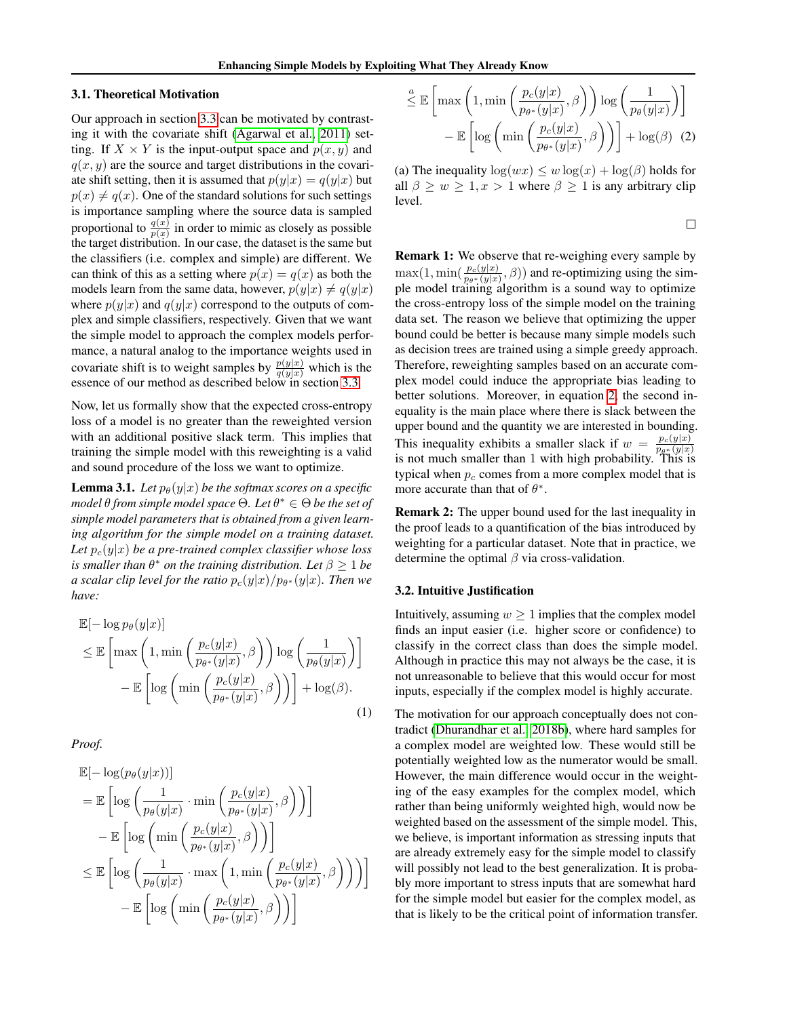#### 3.1. Theoretical Motivation

Our approach in section [3.3](#page-3-0) can be motivated by contrasting it with the covariate shift [\(Agarwal et al., 2011\)](#page-7-0) setting. If  $X \times Y$  is the input-output space and  $p(x, y)$  and  $q(x, y)$  are the source and target distributions in the covariate shift setting, then it is assumed that  $p(y|x) = q(y|x)$  but  $p(x) \neq q(x)$ . One of the standard solutions for such settings is importance sampling where the source data is sampled proportional to  $\frac{q(x)}{p(x)}$  in order to mimic as closely as possible the target distribution. In our case, the dataset is the same but the classifiers (i.e. complex and simple) are different. We can think of this as a setting where  $p(x) = q(x)$  as both the models learn from the same data, however,  $p(y|x) \neq q(y|x)$ where  $p(y|x)$  and  $q(y|x)$  correspond to the outputs of complex and simple classifiers, respectively. Given that we want the simple model to approach the complex models performance, a natural analog to the importance weights used in covariate shift is to weight samples by  $\frac{p(y|x)}{q(y|x)}$  which is the essence of our method as described below in section [3.3.](#page-3-0)

Now, let us formally show that the expected cross-entropy loss of a model is no greater than the reweighted version with an additional positive slack term. This implies that training the simple model with this reweighting is a valid and sound procedure of the loss we want to optimize.

**Lemma 3.1.** *Let*  $p_{\theta}(y|x)$  *be the softmax scores on a specific model* θ *from simple model space* Θ*. Let* θ <sup>∗</sup> ∈ Θ *be the set of simple model parameters that is obtained from a given learning algorithm for the simple model on a training dataset.* Let  $p_c(y|x)$  be a pre-trained complex classifier whose loss *is smaller than*  $\theta^*$  *on the training distribution. Let*  $\beta \geq 1$  *be* a scalar clip level for the ratio  $p_c(y|x)/p_{\theta^*}(y|x).$  Then we *have:*

$$
\mathbb{E}[-\log p_{\theta}(y|x)]
$$
\n
$$
\leq \mathbb{E}\left[\max\left(1,\min\left(\frac{p_c(y|x)}{p_{\theta^*}(y|x)},\beta\right)\right)\log\left(\frac{1}{p_{\theta}(y|x)}\right)\right]
$$
\n
$$
-\mathbb{E}\left[\log\left(\min\left(\frac{p_c(y|x)}{p_{\theta^*}(y|x)},\beta\right)\right)\right] + \log(\beta). \tag{1}
$$

*Proof.*

$$
\mathbb{E}[-\log(p_{\theta}(y|x))]
$$
\n
$$
= \mathbb{E}\left[\log\left(\frac{1}{p_{\theta}(y|x)} \cdot \min\left(\frac{p_c(y|x)}{p_{\theta^*}(y|x)}, \beta\right)\right)\right]
$$
\n
$$
- \mathbb{E}\left[\log\left(\min\left(\frac{p_c(y|x)}{p_{\theta^*}(y|x)}, \beta\right)\right)\right]
$$
\n
$$
\leq \mathbb{E}\left[\log\left(\frac{1}{p_{\theta}(y|x)} \cdot \max\left(1, \min\left(\frac{p_c(y|x)}{p_{\theta^*}(y|x)}, \beta\right)\right)\right)\right]
$$
\n
$$
- \mathbb{E}\left[\log\left(\min\left(\frac{p_c(y|x)}{p_{\theta^*}(y|x)}, \beta\right)\right)\right]
$$

$$
\stackrel{a}{\leq} \mathbb{E}\left[\max\left(1,\min\left(\frac{p_c(y|x)}{p_{\theta^*}(y|x)},\beta\right)\right)\log\left(\frac{1}{p_{\theta}(y|x)}\right)\right] - \mathbb{E}\left[\log\left(\min\left(\frac{p_c(y|x)}{p_{\theta^*}(y|x)},\beta\right)\right)\right] + \log(\beta) \quad (2)
$$

(a) The inequality  $\log(wx) \leq w \log(x) + \log(\beta)$  holds for all  $\beta \geq w \geq 1, x > 1$  where  $\beta \geq 1$  is any arbitrary clip level.

<span id="page-2-0"></span> $\Box$ 

Remark 1: We observe that re-weighing every sample by  $\max(1, \min(\frac{p_c(y|x)}{p_{\theta^*(y|x)}}, \beta))$  and re-optimizing using the simple model training algorithm is a sound way to optimize the cross-entropy loss of the simple model on the training data set. The reason we believe that optimizing the upper bound could be better is because many simple models such as decision trees are trained using a simple greedy approach. Therefore, reweighting samples based on an accurate complex model could induce the appropriate bias leading to better solutions. Moreover, in equation [2,](#page-2-0) the second inequality is the main place where there is slack between the upper bound and the quantity we are interested in bounding. This inequality exhibits a smaller slack if  $w = \frac{p_c(y|x)}{p_{c}(\theta|x)}$  $p_{\theta^*}(y|x)$ is not much smaller than 1 with high probability. This is typical when  $p_c$  comes from a more complex model that is more accurate than that of  $\theta^*$ .

Remark 2: The upper bound used for the last inequality in the proof leads to a quantification of the bias introduced by weighting for a particular dataset. Note that in practice, we determine the optimal  $\beta$  via cross-validation.

#### 3.2. Intuitive Justification

Intuitively, assuming  $w \geq 1$  implies that the complex model finds an input easier (i.e. higher score or confidence) to classify in the correct class than does the simple model. Although in practice this may not always be the case, it is not unreasonable to believe that this would occur for most inputs, especially if the complex model is highly accurate.

The motivation for our approach conceptually does not contradict [\(Dhurandhar et al., 2018b\)](#page-8-0), where hard samples for a complex model are weighted low. These would still be potentially weighted low as the numerator would be small. However, the main difference would occur in the weighting of the easy examples for the complex model, which rather than being uniformly weighted high, would now be weighted based on the assessment of the simple model. This, we believe, is important information as stressing inputs that are already extremely easy for the simple model to classify will possibly not lead to the best generalization. It is probably more important to stress inputs that are somewhat hard for the simple model but easier for the complex model, as that is likely to be the critical point of information transfer.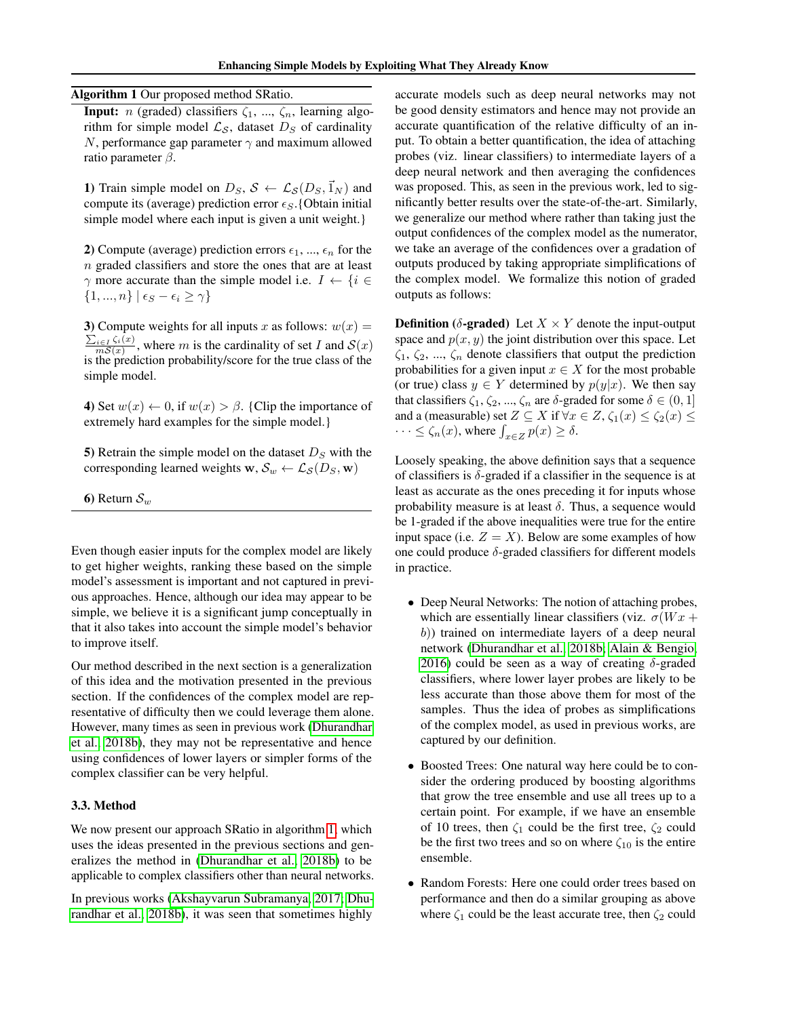<span id="page-3-1"></span>Algorithm 1 Our proposed method SRatio.

**Input:** *n* (graded) classifiers  $\zeta_1$ , ...,  $\zeta_n$ , learning algorithm for simple model  $\mathcal{L}_{\mathcal{S}}$ , dataset  $D_S$  of cardinality N, performance gap parameter  $\gamma$  and maximum allowed ratio parameter  $\beta$ .

1) Train simple model on  $D_S$ ,  $S \leftarrow \mathcal{L}_{S}(D_S, \vec{1}_N)$  and compute its (average) prediction error  $\epsilon_S$ . {Obtain initial simple model where each input is given a unit weight.}

2) Compute (average) prediction errors  $\epsilon_1$ , ...,  $\epsilon_n$  for the n graded classifiers and store the ones that are at least  $\gamma$  more accurate than the simple model i.e.  $I \leftarrow \{i \in$  $\{1, ..., n\} | \epsilon_S - \epsilon_i \geq \gamma\}$ 

3) Compute weights for all inputs x as follows:  $w(x) =$  $\sum_{i\in I}\zeta_i(x)$  $\frac{mS(x)}{mS(x)}$ , where m is the cardinality of set I and  $S(x)$ is the prediction probability/score for the true class of the simple model.

4) Set  $w(x) \leftarrow 0$ , if  $w(x) > \beta$ . {Clip the importance of extremely hard examples for the simple model.}

5) Retrain the simple model on the dataset  $D<sub>S</sub>$  with the corresponding learned weights  $\mathbf{w}, \mathcal{S}_w \leftarrow \mathcal{L}_{\mathcal{S}}(D_S, \mathbf{w})$ 

6) Return  $S_w$ 

Even though easier inputs for the complex model are likely to get higher weights, ranking these based on the simple model's assessment is important and not captured in previous approaches. Hence, although our idea may appear to be simple, we believe it is a significant jump conceptually in that it also takes into account the simple model's behavior to improve itself.

Our method described in the next section is a generalization of this idea and the motivation presented in the previous section. If the confidences of the complex model are representative of difficulty then we could leverage them alone. However, many times as seen in previous work [\(Dhurandhar](#page-8-0) [et al., 2018b\)](#page-8-0), they may not be representative and hence using confidences of lower layers or simpler forms of the complex classifier can be very helpful.

#### <span id="page-3-0"></span>3.3. Method

We now present our approach SRatio in algorithm [1,](#page-3-1) which uses the ideas presented in the previous sections and generalizes the method in [\(Dhurandhar et al., 2018b\)](#page-8-0) to be applicable to complex classifiers other than neural networks.

In previous works [\(Akshayvarun Subramanya, 2017;](#page-8-21) [Dhu](#page-8-0)[randhar et al., 2018b\)](#page-8-0), it was seen that sometimes highly

accurate models such as deep neural networks may not be good density estimators and hence may not provide an accurate quantification of the relative difficulty of an input. To obtain a better quantification, the idea of attaching probes (viz. linear classifiers) to intermediate layers of a deep neural network and then averaging the confidences was proposed. This, as seen in the previous work, led to significantly better results over the state-of-the-art. Similarly, we generalize our method where rather than taking just the output confidences of the complex model as the numerator, we take an average of the confidences over a gradation of outputs produced by taking appropriate simplifications of the complex model. We formalize this notion of graded outputs as follows:

**Definition** ( $\delta$ -graded) Let  $X \times Y$  denote the input-output space and  $p(x, y)$  the joint distribution over this space. Let  $\zeta_1, \zeta_2, ..., \zeta_n$  denote classifiers that output the prediction probabilities for a given input  $x \in X$  for the most probable (or true) class  $y \in Y$  determined by  $p(y|x)$ . We then say that classifiers  $\zeta_1, \zeta_2, ..., \zeta_n$  are  $\delta$ -graded for some  $\delta \in (0, 1]$ and a (measurable) set  $Z \subseteq X$  if  $\forall x \in Z$ ,  $\zeta_1(x) \leq \zeta_2(x) \leq$  $\cdots \leq \zeta_n(x)$ , where  $\int_{x \in Z} p(x) \geq \delta$ .

Loosely speaking, the above definition says that a sequence of classifiers is  $\delta$ -graded if a classifier in the sequence is at least as accurate as the ones preceding it for inputs whose probability measure is at least  $\delta$ . Thus, a sequence would be 1-graded if the above inequalities were true for the entire input space (i.e.  $Z = X$ ). Below are some examples of how one could produce  $\delta$ -graded classifiers for different models in practice.

- Deep Neural Networks: The notion of attaching probes, which are essentially linear classifiers (viz.  $\sigma(Wx +$ b)) trained on intermediate layers of a deep neural network [\(Dhurandhar et al., 2018b;](#page-8-0) [Alain & Bengio,](#page-8-22) [2016\)](#page-8-22) could be seen as a way of creating  $\delta$ -graded classifiers, where lower layer probes are likely to be less accurate than those above them for most of the samples. Thus the idea of probes as simplifications of the complex model, as used in previous works, are captured by our definition.
- Boosted Trees: One natural way here could be to consider the ordering produced by boosting algorithms that grow the tree ensemble and use all trees up to a certain point. For example, if we have an ensemble of 10 trees, then  $\zeta_1$  could be the first tree,  $\zeta_2$  could be the first two trees and so on where  $\zeta_{10}$  is the entire ensemble.
- Random Forests: Here one could order trees based on performance and then do a similar grouping as above where  $\zeta_1$  could be the least accurate tree, then  $\zeta_2$  could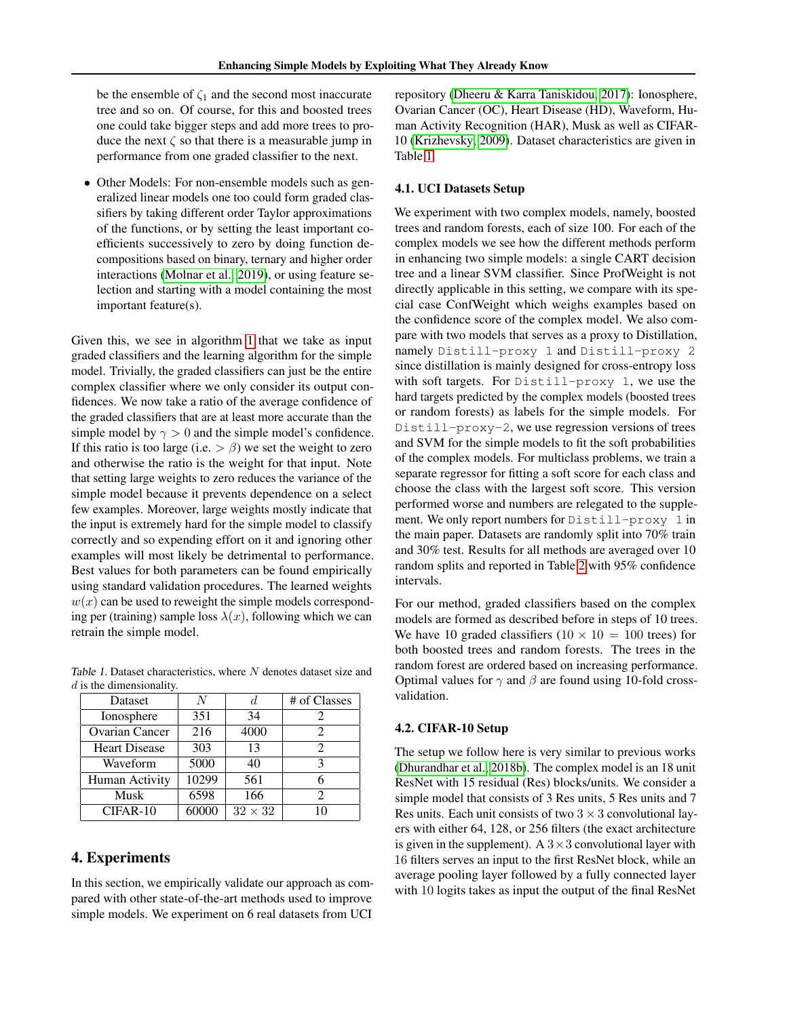be the ensemble of  $\zeta_1$  and the second most inaccurate tree and so on. Of course, for this and boosted trees one could take bigger steps and add more trees to produce the next  $\zeta$  so that there is a measurable jump in performance from one graded classifier to the next.

• Other Models: For non-ensemble models such as generalized linear models one too could form graded classifiers by taking different order Taylor approximations of the functions, or by setting the least important coefficients successively to zero by doing function decompositions based on binary, ternary and higher order interactions [\(Molnar et al., 2019\)](#page-8-23), or using feature selection and starting with a model containing the most important feature(s).

Given this, we see in algorithm [1](#page-3-1) that we take as input graded classifiers and the learning algorithm for the simple model. Trivially, the graded classifiers can just be the entire complex classifier where we only consider its output confidences. We now take a ratio of the average confidence of the graded classifiers that are at least more accurate than the simple model by  $\gamma > 0$  and the simple model's confidence. If this ratio is too large (i.e.  $> \beta$ ) we set the weight to zero and otherwise the ratio is the weight for that input. Note that setting large weights to zero reduces the variance of the simple model because it prevents dependence on a select few examples. Moreover, large weights mostly indicate that the input is extremely hard for the simple model to classify correctly and so expending effort on it and ignoring other examples will most likely be detrimental to performance. Best values for both parameters can be found empirically using standard validation procedures. The learned weights  $w(x)$  can be used to reweight the simple models corresponding per (training) sample loss  $\lambda(x)$ , following which we can retrain the simple model.

<span id="page-4-0"></span>Table 1. Dataset characteristics, where  $N$  denotes dataset size and  $d$  is the dimensionality.

| Dataset               | N     |                | # of Classes   |
|-----------------------|-------|----------------|----------------|
| Ionosphere            | 351   | 34             |                |
| <b>Ovarian Cancer</b> | 216   | 4000           |                |
| <b>Heart Disease</b>  | 303   | 13             |                |
| Waveform              | 5000  | 40             | κ              |
| Human Activity        | 10299 | 561            |                |
| Musk                  | 6598  | 166            | $\mathfrak{D}$ |
| CIFAR-10              | 60000 | $32 \times 32$ |                |

# 4. Experiments

In this section, we empirically validate our approach as compared with other state-of-the-art methods used to improve simple models. We experiment on 6 real datasets from UCI

repository [\(Dheeru & Karra Taniskidou, 2017\)](#page-8-24): Ionosphere, Ovarian Cancer (OC), Heart Disease (HD), Waveform, Human Activity Recognition (HAR), Musk as well as CIFAR-10 [\(Krizhevsky, 2009\)](#page-8-25). Dataset characteristics are given in Table [1.](#page-4-0)

#### 4.1. UCI Datasets Setup

We experiment with two complex models, namely, boosted trees and random forests, each of size 100. For each of the complex models we see how the different methods perform in enhancing two simple models: a single CART decision tree and a linear SVM classifier. Since ProfWeight is not directly applicable in this setting, we compare with its special case ConfWeight which weighs examples based on the confidence score of the complex model. We also compare with two models that serves as a proxy to Distillation, namely Distill-proxy 1 and Distill-proxy 2 since distillation is mainly designed for cross-entropy loss with soft targets. For Distill-proxy 1, we use the hard targets predicted by the complex models (boosted trees or random forests) as labels for the simple models. For Distill-proxy-2, we use regression versions of trees and SVM for the simple models to fit the soft probabilities of the complex models. For multiclass problems, we train a separate regressor for fitting a soft score for each class and choose the class with the largest soft score. This version performed worse and numbers are relegated to the supplement. We only report numbers for Distill-proxy 1 in the main paper. Datasets are randomly split into 70% train and 30% test. Results for all methods are averaged over 10 random splits and reported in Table [2](#page-5-0) with 95% confidence intervals.

For our method, graded classifiers based on the complex models are formed as described before in steps of 10 trees. We have 10 graded classifiers  $(10 \times 10 = 100$  trees) for both boosted trees and random forests. The trees in the random forest are ordered based on increasing performance. Optimal values for  $\gamma$  and  $\beta$  are found using 10-fold crossvalidation.

# 4.2. CIFAR-10 Setup

The setup we follow here is very similar to previous works [\(Dhurandhar et al., 2018b\)](#page-8-0). The complex model is an 18 unit ResNet with 15 residual (Res) blocks/units. We consider a simple model that consists of 3 Res units, 5 Res units and 7 Res units. Each unit consists of two  $3 \times 3$  convolutional layers with either 64, 128, or 256 filters (the exact architecture is given in the supplement). A  $3 \times 3$  convolutional layer with 16 filters serves an input to the first ResNet block, while an average pooling layer followed by a fully connected layer with 10 logits takes as input the output of the final ResNet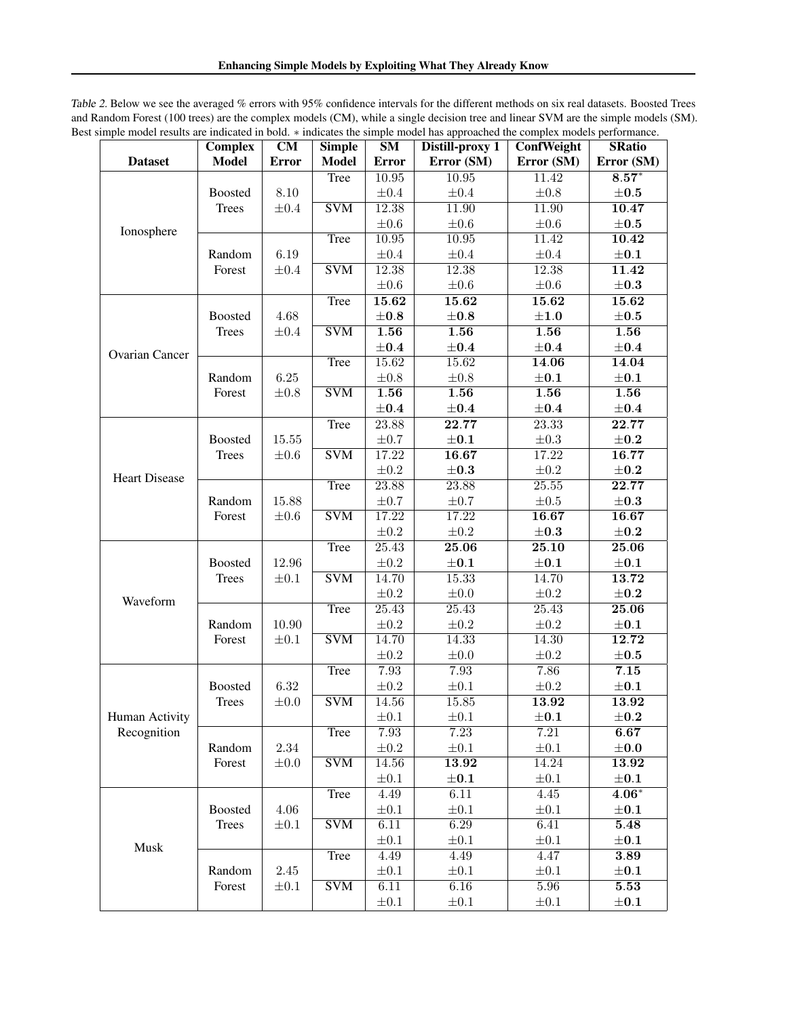<span id="page-5-0"></span>Table 2. Below we see the averaged % errors with 95% confidence intervals for the different methods on six real datasets. Boosted Trees and Random Forest (100 trees) are the complex models (CM), while a single decision tree and linear SVM are the simple models (SM). Best simple model results are indicated in bold. ∗ indicates the simple model has approached the complex models performance.

|                      | <b>Complex</b>          | CM                     | <b>Simple</b>             | SM                 | - --r-- -<br>Distill-proxy 1 | ConfWeight | <b>SRatio</b>     |
|----------------------|-------------------------|------------------------|---------------------------|--------------------|------------------------------|------------|-------------------|
| <b>Dataset</b>       | <b>Model</b>            | <b>Error</b>           | <b>Model</b>              | <b>Error</b>       | Error (SM)                   | Error (SM) | Error (SM)        |
|                      |                         |                        | Tree                      | 10.95              | 10.95                        | 11.42      | $8.57*$           |
|                      | Boosted                 | $8.10\,$               |                           | $\pm 0.4$          | $\pm 0.4$                    | $\pm 0.8$  | $\pm 0.5$         |
|                      | Trees                   | $\pm 0.4$              | $\overline{\text{SVM}}$   | 12.38              | 11.90                        | 11.90      | 10.47             |
| Ionosphere           |                         |                        |                           | $\pm 0.6$          | $\pm 0.6$                    | $\pm 0.6$  | $\pm 0.5$         |
|                      |                         |                        | Tree                      | 10.95              | 10.95                        | 11.42      | 10.42             |
|                      | Random<br>Forest        | 6.19<br>$\pm 0.4$      |                           | $\pm 0.4$          | $\pm 0.4$                    | $\pm 0.4$  | $\pm 0.1$         |
|                      |                         |                        | <b>SVM</b>                | 12.38              | 12.38                        | 12.38      | 11.42             |
|                      |                         |                        |                           | $\pm 0.6$          | $\pm 0.6$                    | $\pm 0.6$  | $\pm 0.3$         |
|                      |                         |                        | Tree                      | 15.62              | 15.62                        | 15.62      | 15.62             |
| Ovarian Cancer       | Boosted                 | 4.68                   |                           | $\pm 0.8$          | $\pm 0.8$                    | $\pm 1.0$  | $\pm 0.5$         |
|                      | Trees                   | $\pm 0.4$              | <b>SVM</b>                | 1.56               | $\overline{1.56}$            | 1.56       | $\overline{1.56}$ |
|                      |                         |                        |                           | $\pm 0.4$          | $\pm 0.4$                    | $\pm 0.4$  | $\pm 0.4$         |
|                      |                         |                        | Tree                      | 15.62              | 15.62                        | 14.06      | 14.04             |
|                      | Random                  | $6.25\,$               |                           | $\pm 0.8$          | $\pm 0.8$                    | $\pm 0.1$  | $\pm 0.1$         |
|                      | Forest                  | $\pm 0.8$              | <b>SVM</b>                | $\overline{1.56}$  | $\overline{1.56}$            | 1.56       | $\overline{1.56}$ |
|                      |                         |                        |                           | $\pm 0.4$          | $\pm 0.4$                    | $\pm 0.4$  | $\pm 0.4$         |
|                      |                         |                        | Tree                      | 23.88              | 22.77                        | 23.33      | 22.77             |
|                      | <b>Boosted</b>          | $15.55\,$              |                           | $\pm 0.7$          | $\pm 0.1$                    | $\pm 0.3$  | $\pm 0.2$         |
|                      | Trees                   | $\pm 0.6$              | $\overline{\text{SVM}}$   | 17.22              | 16.67                        | 17.22      | 16.77             |
| <b>Heart Disease</b> |                         |                        |                           | $\pm 0.2$          | $\pm 0.3$                    | $\pm 0.2$  | $\pm 0.2$         |
|                      |                         |                        | Tree                      | 23.88              | 23.88                        | 25.55      | 22.77             |
|                      | Random                  | 15.88                  |                           | $\pm 0.7$          | $\pm 0.7$                    | $\pm 0.5$  | $\pm 0.3$         |
|                      | Forest                  | $\pm 0.6$              | <b>SVM</b>                | 17.22              | 17.22                        | 16.67      | 16.67             |
|                      |                         |                        |                           | $\pm 0.2$          | $\pm 0.2$                    | $\pm 0.3$  | $\pm 0.2$         |
|                      |                         |                        | Tree                      | $\overline{25.43}$ | 25.06                        | 25.10      | 25.06             |
|                      | <b>Boosted</b><br>Trees | 12.96<br>$\pm 0.1$     |                           | $\pm 0.2$          | $\pm 0.1$                    | $\pm 0.1$  | $\pm 0.1$         |
|                      |                         |                        | SVM                       | 14.70              | 15.33                        | 14.70      | 13.72             |
| Waveform             |                         |                        |                           | $\pm 0.2$          | $\pm 0.0$                    | $\pm 0.2$  | $\pm 0.2$         |
|                      |                         |                        | Tree                      | 25.43              | 25.43                        | 25.43      | 25.06             |
|                      | Random<br>Forest        | $10.90\,$<br>$\pm 0.1$ |                           | $\pm 0.2$          | $\pm 0.2$                    | $\pm 0.2$  | $\pm 0.1$         |
|                      |                         |                        | <b>SVM</b>                | 14.70              | 14.33                        | 14.30      | 12.72             |
|                      |                         |                        |                           | $\pm 0.2$          | $\pm 0.0$                    | $\pm 0.2$  | $\pm 0.5$         |
|                      |                         |                        | Tree                      | 7.93               | 7.93                         | 7.86       | 7.15              |
|                      | <b>Boosted</b>          | 6.32                   |                           | $\pm 0.2$          | $\pm 0.1$                    | $\pm 0.2$  | $\pm 0.1$         |
|                      | <b>Trees</b>            | $\pm 0.0$              | $\overline{\mathrm{SVM}}$ | 14.56              | 15.85                        | 13.92      | 13.92             |
| Human Activity       |                         |                        |                           | $\pm 0.1$          | $\pm 0.1$                    | $\pm 0.1$  | $\pm 0.2$         |
| Recognition          |                         |                        | Tree                      | 7.93               | 7.23                         | 7.21       | 6.67              |
|                      | Random                  | 2.34                   |                           | $\pm 0.2$          | $\pm 0.1$                    | $\pm 0.1$  | $\pm 0.0$         |
|                      | Forest                  | $\pm 0.0$              | <b>SVM</b>                | 14.56              | 13.92                        | 14.24      | 13.92             |
|                      |                         |                        |                           | $\pm 0.1$          | $\pm 0.1$                    | $\pm 0.1$  | $\pm 0.1$         |
|                      |                         |                        | Tree                      | 4.49               | 6.11                         | 4.45       | $4.06*$           |
|                      | <b>Boosted</b>          | 4.06<br>$\pm 0.1$      |                           | $\pm 0.1$          | $\pm 0.1$                    | $\pm 0.1$  | $\pm 0.1$         |
|                      | Trees                   |                        | $\overline{\mathrm{SVM}}$ | 6.11               | 6.29                         | 6.41       | 5.48              |
| Musk                 |                         |                        |                           | $\pm 0.1$          | $\pm 0.1$                    | $\pm 0.1$  | $\pm 0.1$         |
|                      |                         |                        | <b>Tree</b>               | 4.49               | 4.49                         | 4.47       | 3.89              |
|                      | Random<br>Forest        | 2.45<br>$\pm 0.1$      |                           | $\pm 0.1$          | $\pm 0.1$                    | $\pm 0.1$  | $\pm 0.1$         |
|                      |                         |                        | $\overline{\text{SVM}}$   | 6.11               | 6.16                         | 5.96       | 5.53              |
|                      |                         |                        |                           | $\pm 0.1$          | $\pm 0.1$                    | $\pm 0.1$  | $\pm 0.1$         |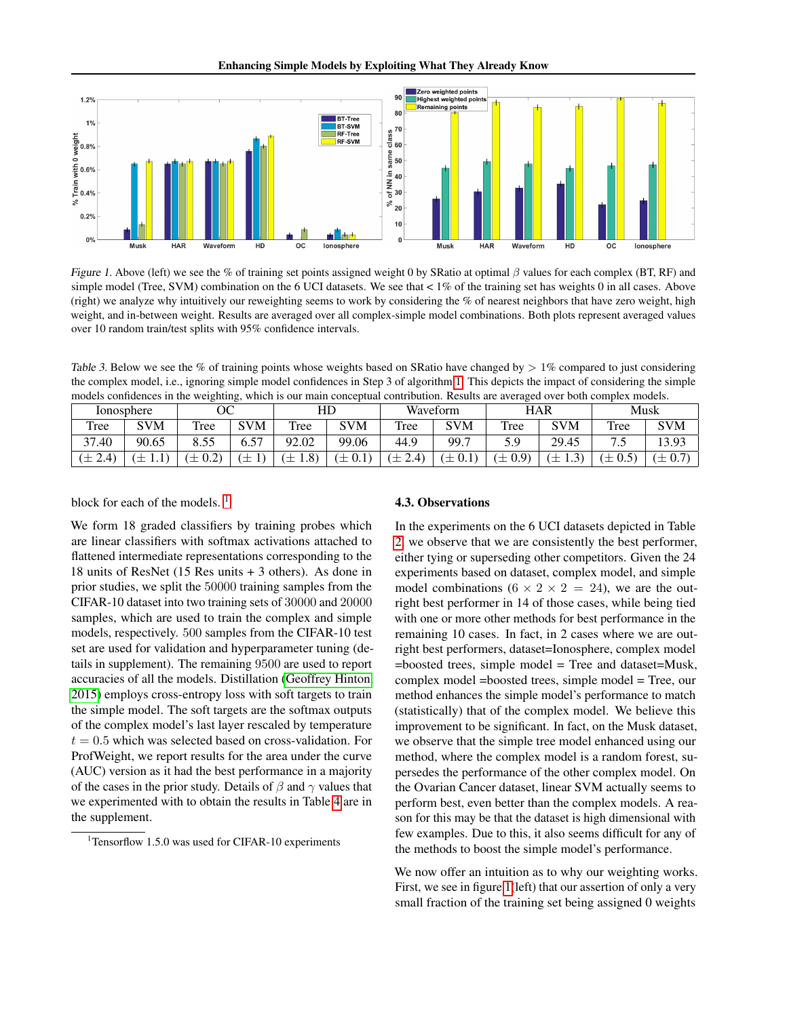

<span id="page-6-1"></span>Figure 1. Above (left) we see the % of training set points assigned weight 0 by SRatio at optimal  $\beta$  values for each complex (BT, RF) and simple model (Tree, SVM) combination on the 6 UCI datasets. We see that  $< 1\%$  of the training set has weights 0 in all cases. Above (right) we analyze why intuitively our reweighting seems to work by considering the % of nearest neighbors that have zero weight, high weight, and in-between weight. Results are averaged over all complex-simple model combinations. Both plots represent averaged values over 10 random train/test splits with 95% confidence intervals.

<span id="page-6-2"></span>Table 3. Below we see the % of training points whose weights based on SRatio have changed by  $> 1\%$  compared to just considering the complex model, i.e., ignoring simple model confidences in Step 3 of algorithm [1.](#page-3-1) This depicts the impact of considering the simple models confidences in the weighting, which is our main conceptual contribution. Results are averaged over both complex models.

|                    | Ionosphere | ОC                      |            | HD                |            |                 | Waveform   |      | HAR                      |        | Musk                                                   |
|--------------------|------------|-------------------------|------------|-------------------|------------|-----------------|------------|------|--------------------------|--------|--------------------------------------------------------|
| Tree               | <b>SVM</b> | Tree                    | <b>SVM</b> | Tree              | <b>SVM</b> | Tree            | <b>SVM</b> | Tree | SVM                      | Tree   | <b>SVM</b>                                             |
| 37.40              | 90.65      | 8.55                    | 57<br>U.J  | 2.02<br>Q٥        | 99.06      | 44.9            | 99.7       |      | 29.45                    | ⇁<br>ت | 13.93                                                  |
| $2.4^{\circ}$<br>— | ᅩ          | $\cap$<br>—<br>∪.∠<br>ᅩ | __         | (8.1)<br>$-$<br>ᆂ | ᅩ          | $\Delta$<br>$-$ | ᅩ          | ሰ ወነ | ⌒<br>$-$<br>$\cdot\cdot$ | ິ<br>ᅩ | $\rightarrow$<br>$\overline{\phantom{0}}$<br>ᆂ<br>∪. ≀ |

block for each of the models.<sup>[1](#page-6-0)</sup>

#### 4.3. Observations

We form 18 graded classifiers by training probes which are linear classifiers with softmax activations attached to flattened intermediate representations corresponding to the 18 units of ResNet (15 Res units + 3 others). As done in prior studies, we split the 50000 training samples from the CIFAR-10 dataset into two training sets of 30000 and 20000 samples, which are used to train the complex and simple models, respectively. 500 samples from the CIFAR-10 test set are used for validation and hyperparameter tuning (details in supplement). The remaining 9500 are used to report accuracies of all the models. Distillation [\(Geoffrey Hinton,](#page-8-5) [2015\)](#page-8-5) employs cross-entropy loss with soft targets to train the simple model. The soft targets are the softmax outputs of the complex model's last layer rescaled by temperature  $t = 0.5$  which was selected based on cross-validation. For ProfWeight, we report results for the area under the curve (AUC) version as it had the best performance in a majority of the cases in the prior study. Details of  $\beta$  and  $\gamma$  values that we experimented with to obtain the results in Table [4](#page-7-1) are in the supplement.

In the experiments on the 6 UCI datasets depicted in Table [2,](#page-5-0) we observe that we are consistently the best performer, either tying or superseding other competitors. Given the 24 experiments based on dataset, complex model, and simple model combinations ( $6 \times 2 \times 2 = 24$ ), we are the outright best performer in 14 of those cases, while being tied with one or more other methods for best performance in the remaining 10 cases. In fact, in 2 cases where we are outright best performers, dataset=Ionosphere, complex model =boosted trees, simple model = Tree and dataset=Musk, complex model =boosted trees, simple model = Tree, our method enhances the simple model's performance to match (statistically) that of the complex model. We believe this improvement to be significant. In fact, on the Musk dataset, we observe that the simple tree model enhanced using our method, where the complex model is a random forest, supersedes the performance of the other complex model. On the Ovarian Cancer dataset, linear SVM actually seems to perform best, even better than the complex models. A reason for this may be that the dataset is high dimensional with few examples. Due to this, it also seems difficult for any of the methods to boost the simple model's performance.

We now offer an intuition as to why our weighting works. First, we see in figure [1\(](#page-6-1)left) that our assertion of only a very small fraction of the training set being assigned 0 weights

<span id="page-6-0"></span> $1$ Tensorflow 1.5.0 was used for CIFAR-10 experiments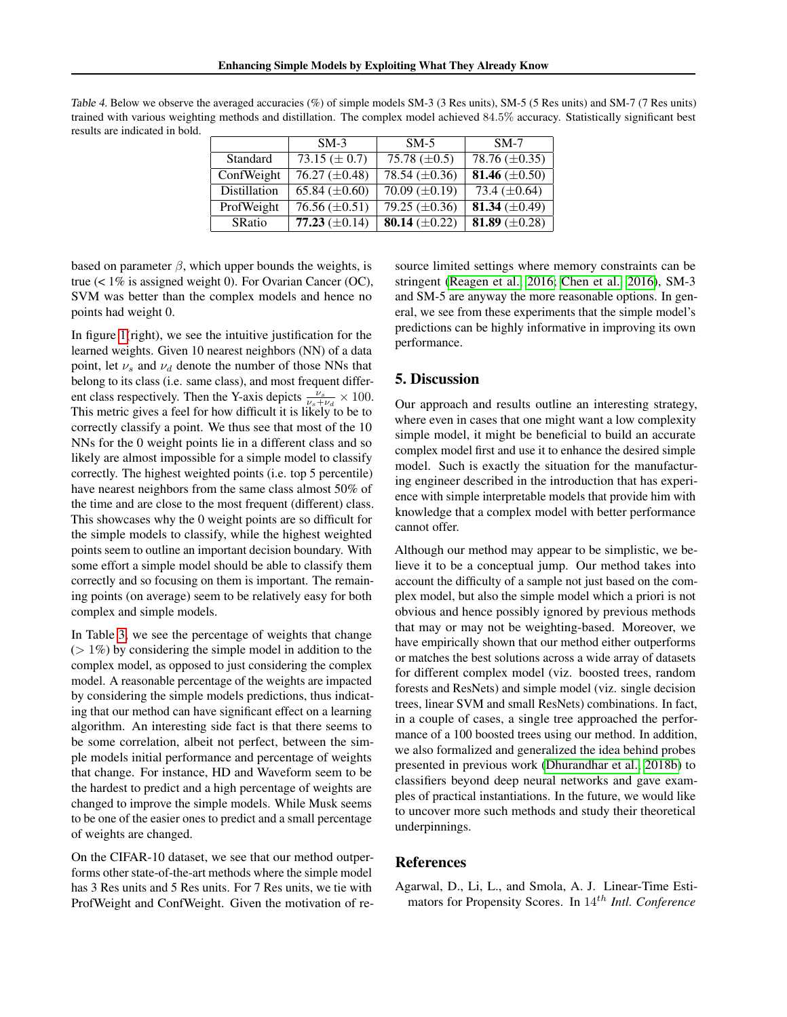|               | $SM-3$             | $SM-5$               | $SM-7$             |
|---------------|--------------------|----------------------|--------------------|
| Standard      | 73.15 $(\pm 0.7)$  | 75.78 $(\pm 0.5)$    | 78.76 $(\pm 0.35)$ |
| ConfWeight    | 76.27 $(\pm 0.48)$ | 78.54 $(\pm 0.36)$   | 81.46 $(\pm 0.50)$ |
| Distillation  | 65.84 $(\pm 0.60)$ | $70.09 \ (\pm 0.19)$ | 73.4 $(\pm 0.64)$  |
| ProfWeight    | 76.56 $(\pm 0.51)$ | 79.25 $(\pm 0.36)$   | 81.34 $(\pm 0.49)$ |
| <b>SRatio</b> | 77.23 $(\pm 0.14)$ | 80.14 $(\pm 0.22)$   | 81.89 $(\pm 0.28)$ |

<span id="page-7-1"></span>Table 4. Below we observe the averaged accuracies (%) of simple models SM-3 (3 Res units), SM-5 (5 Res units) and SM-7 (7 Res units) trained with various weighting methods and distillation. The complex model achieved 84.5% accuracy. Statistically significant best results are indicated in bold.

based on parameter  $\beta$ , which upper bounds the weights, is true (< 1% is assigned weight 0). For Ovarian Cancer (OC), SVM was better than the complex models and hence no points had weight 0.

In figure [1\(](#page-6-1)right), we see the intuitive justification for the learned weights. Given 10 nearest neighbors (NN) of a data point, let  $\nu_s$  and  $\nu_d$  denote the number of those NNs that belong to its class (i.e. same class), and most frequent different class respectively. Then the Y-axis depicts  $\frac{\nu_s}{\nu_s+\nu_d} \times 100$ . This metric gives a feel for how difficult it is likely to be to correctly classify a point. We thus see that most of the 10 NNs for the 0 weight points lie in a different class and so likely are almost impossible for a simple model to classify correctly. The highest weighted points (i.e. top 5 percentile) have nearest neighbors from the same class almost 50% of the time and are close to the most frequent (different) class. This showcases why the 0 weight points are so difficult for the simple models to classify, while the highest weighted points seem to outline an important decision boundary. With some effort a simple model should be able to classify them correctly and so focusing on them is important. The remaining points (on average) seem to be relatively easy for both complex and simple models.

In Table [3,](#page-6-2) we see the percentage of weights that change  $(1\%)$  by considering the simple model in addition to the complex model, as opposed to just considering the complex model. A reasonable percentage of the weights are impacted by considering the simple models predictions, thus indicating that our method can have significant effect on a learning algorithm. An interesting side fact is that there seems to be some correlation, albeit not perfect, between the simple models initial performance and percentage of weights that change. For instance, HD and Waveform seem to be the hardest to predict and a high percentage of weights are changed to improve the simple models. While Musk seems to be one of the easier ones to predict and a small percentage of weights are changed.

On the CIFAR-10 dataset, we see that our method outperforms other state-of-the-art methods where the simple model has 3 Res units and 5 Res units. For 7 Res units, we tie with ProfWeight and ConfWeight. Given the motivation of re-

source limited settings where memory constraints can be stringent [\(Reagen et al., 2016;](#page-8-9) [Chen et al., 2016\)](#page-8-20), SM-3 and SM-5 are anyway the more reasonable options. In general, we see from these experiments that the simple model's predictions can be highly informative in improving its own performance.

## 5. Discussion

Our approach and results outline an interesting strategy, where even in cases that one might want a low complexity simple model, it might be beneficial to build an accurate complex model first and use it to enhance the desired simple model. Such is exactly the situation for the manufacturing engineer described in the introduction that has experience with simple interpretable models that provide him with knowledge that a complex model with better performance cannot offer.

Although our method may appear to be simplistic, we believe it to be a conceptual jump. Our method takes into account the difficulty of a sample not just based on the complex model, but also the simple model which a priori is not obvious and hence possibly ignored by previous methods that may or may not be weighting-based. Moreover, we have empirically shown that our method either outperforms or matches the best solutions across a wide array of datasets for different complex model (viz. boosted trees, random forests and ResNets) and simple model (viz. single decision trees, linear SVM and small ResNets) combinations. In fact, in a couple of cases, a single tree approached the performance of a 100 boosted trees using our method. In addition, we also formalized and generalized the idea behind probes presented in previous work [\(Dhurandhar et al., 2018b\)](#page-8-0) to classifiers beyond deep neural networks and gave examples of practical instantiations. In the future, we would like to uncover more such methods and study their theoretical underpinnings.

### References

<span id="page-7-0"></span>Agarwal, D., Li, L., and Smola, A. J. Linear-Time Estimators for Propensity Scores. In 14th *Intl. Conference*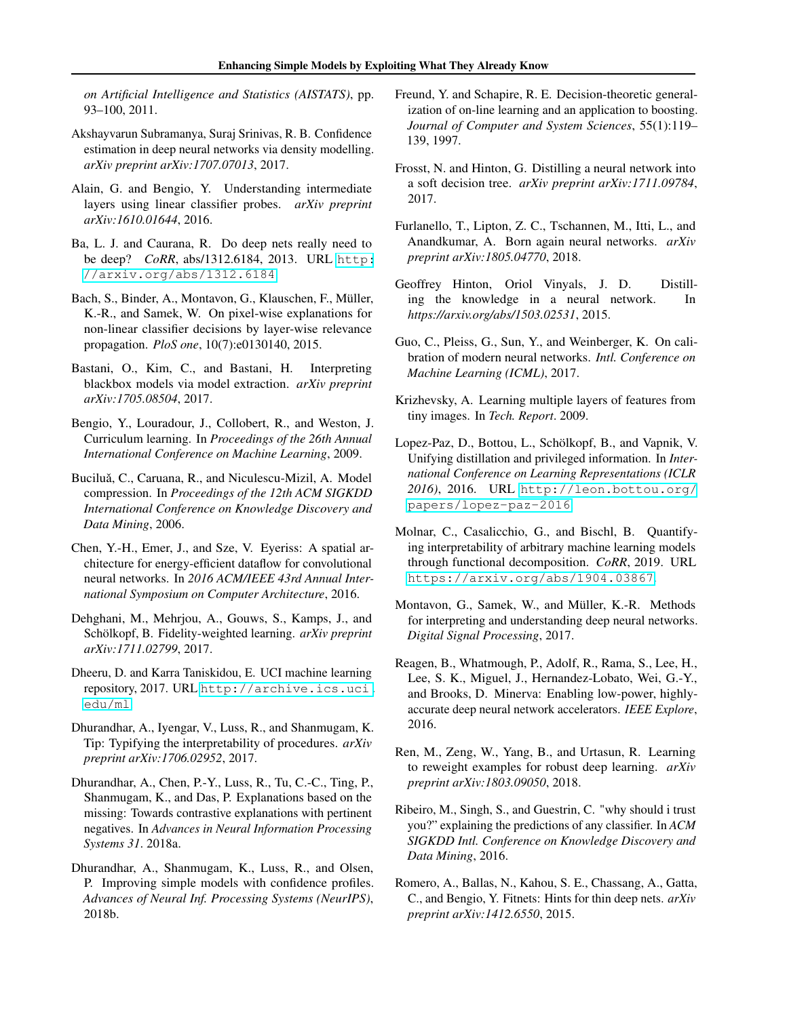*on Artificial Intelligence and Statistics (AISTATS)*, pp. 93–100, 2011.

- <span id="page-8-21"></span>Akshayvarun Subramanya, Suraj Srinivas, R. B. Confidence estimation in deep neural networks via density modelling. *arXiv preprint arXiv:1707.07013*, 2017.
- <span id="page-8-22"></span>Alain, G. and Bengio, Y. Understanding intermediate layers using linear classifier probes. *arXiv preprint arXiv:1610.01644*, 2016.
- <span id="page-8-11"></span>Ba, L. J. and Caurana, R. Do deep nets really need to be deep? *CoRR*, abs/1312.6184, 2013. URL [http:](http://arxiv.org/abs/1312.6184) [//arxiv.org/abs/1312.6184](http://arxiv.org/abs/1312.6184).
- <span id="page-8-2"></span>Bach, S., Binder, A., Montavon, G., Klauschen, F., Müller, K.-R., and Samek, W. On pixel-wise explanations for non-linear classifier decisions by layer-wise relevance propagation. *PloS one*, 10(7):e0130140, 2015.
- <span id="page-8-12"></span>Bastani, O., Kim, C., and Bastani, H. Interpreting blackbox models via model extraction. *arXiv preprint arXiv:1705.08504*, 2017.
- <span id="page-8-17"></span>Bengio, Y., Louradour, J., Collobert, R., and Weston, J. Curriculum learning. In *Proceedings of the 26th Annual International Conference on Machine Learning*, 2009.
- <span id="page-8-10"></span>Buciluă, C., Caruana, R., and Niculescu-Mizil, A. Model compression. In *Proceedings of the 12th ACM SIGKDD International Conference on Knowledge Discovery and Data Mining*, 2006.
- <span id="page-8-20"></span>Chen, Y.-H., Emer, J., and Sze, V. Eyeriss: A spatial architecture for energy-efficient dataflow for convolutional neural networks. In *2016 ACM/IEEE 43rd Annual International Symposium on Computer Architecture*, 2016.
- <span id="page-8-13"></span>Dehghani, M., Mehrjou, A., Gouws, S., Kamps, J., and Schölkopf, B. Fidelity-weighted learning. *arXiv preprint arXiv:1711.02799*, 2017.
- <span id="page-8-24"></span>Dheeru, D. and Karra Taniskidou, E. UCI machine learning repository, 2017. URL [http://archive.ics.uci.](http://archive.ics.uci.edu/ml) [edu/ml](http://archive.ics.uci.edu/ml).
- <span id="page-8-18"></span>Dhurandhar, A., Iyengar, V., Luss, R., and Shanmugam, K. Tip: Typifying the interpretability of procedures. *arXiv preprint arXiv:1706.02952*, 2017.
- <span id="page-8-3"></span>Dhurandhar, A., Chen, P.-Y., Luss, R., Tu, C.-C., Ting, P., Shanmugam, K., and Das, P. Explanations based on the missing: Towards contrastive explanations with pertinent negatives. In *Advances in Neural Information Processing Systems 31*. 2018a.
- <span id="page-8-0"></span>Dhurandhar, A., Shanmugam, K., Luss, R., and Olsen, P. Improving simple models with confidence profiles. *Advances of Neural Inf. Processing Systems (NeurIPS)*, 2018b.
- <span id="page-8-4"></span>Freund, Y. and Schapire, R. E. Decision-theoretic generalization of on-line learning and an application to boosting. *Journal of Computer and System Sciences*, 55(1):119– 139, 1997.
- <span id="page-8-15"></span>Frosst, N. and Hinton, G. Distilling a neural network into a soft decision tree. *arXiv preprint arXiv:1711.09784*, 2017.
- <span id="page-8-14"></span>Furlanello, T., Lipton, Z. C., Tschannen, M., Itti, L., and Anandkumar, A. Born again neural networks. *arXiv preprint arXiv:1805.04770*, 2018.
- <span id="page-8-5"></span>Geoffrey Hinton, Oriol Vinyals, J. D. Distilling the knowledge in a neural network. In *https://arxiv.org/abs/1503.02531*, 2015.
- <span id="page-8-7"></span>Guo, C., Pleiss, G., Sun, Y., and Weinberger, K. On calibration of modern neural networks. *Intl. Conference on Machine Learning (ICML)*, 2017.
- <span id="page-8-25"></span>Krizhevsky, A. Learning multiple layers of features from tiny images. In *Tech. Report*. 2009.
- <span id="page-8-6"></span>Lopez-Paz, D., Bottou, L., Schölkopf, B., and Vapnik, V. Unifying distillation and privileged information. In *International Conference on Learning Representations (ICLR 2016)*, 2016. URL [http://leon.bottou.org/](http://leon.bottou.org/papers/lopez-paz-2016) [papers/lopez-paz-2016](http://leon.bottou.org/papers/lopez-paz-2016).
- <span id="page-8-23"></span>Molnar, C., Casalicchio, G., and Bischl, B. Quantifying interpretability of arbitrary machine learning models through functional decomposition. *CoRR*, 2019. URL <https://arxiv.org/abs/1904.03867>.
- <span id="page-8-19"></span>Montavon, G., Samek, W., and Müller, K.-R. Methods for interpreting and understanding deep neural networks. *Digital Signal Processing*, 2017.
- <span id="page-8-9"></span>Reagen, B., Whatmough, P., Adolf, R., Rama, S., Lee, H., Lee, S. K., Miguel, J., Hernandez-Lobato, Wei, G.-Y., and Brooks, D. Minerva: Enabling low-power, highlyaccurate deep neural network accelerators. *IEEE Explore*, 2016.
- <span id="page-8-16"></span>Ren, M., Zeng, W., Yang, B., and Urtasun, R. Learning to reweight examples for robust deep learning. *arXiv preprint arXiv:1803.09050*, 2018.
- <span id="page-8-1"></span>Ribeiro, M., Singh, S., and Guestrin, C. "why should i trust you?" explaining the predictions of any classifier. In *ACM SIGKDD Intl. Conference on Knowledge Discovery and Data Mining*, 2016.
- <span id="page-8-8"></span>Romero, A., Ballas, N., Kahou, S. E., Chassang, A., Gatta, C., and Bengio, Y. Fitnets: Hints for thin deep nets. *arXiv preprint arXiv:1412.6550*, 2015.